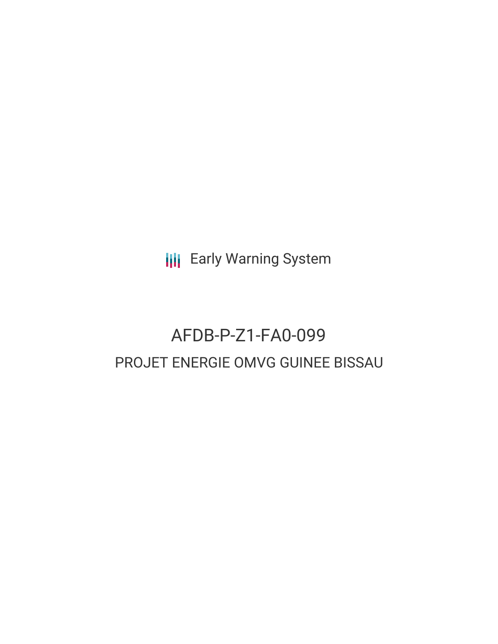**III** Early Warning System

# AFDB-P-Z1-FA0-099 PROJET ENERGIE OMVG GUINEE BISSAU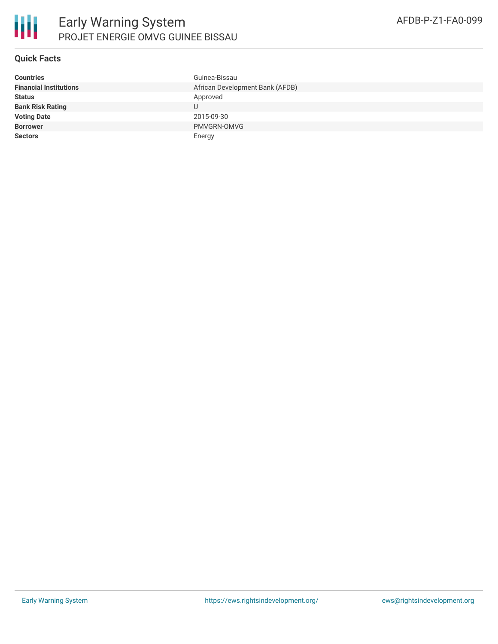

#### **Quick Facts**

| <b>Countries</b>              | Guinea-Bissau                   |
|-------------------------------|---------------------------------|
| <b>Financial Institutions</b> | African Development Bank (AFDB) |
| <b>Status</b>                 | Approved                        |
| <b>Bank Risk Rating</b>       |                                 |
| <b>Voting Date</b>            | 2015-09-30                      |
| <b>Borrower</b>               | PMVGRN-OMVG                     |
| <b>Sectors</b>                | Energy                          |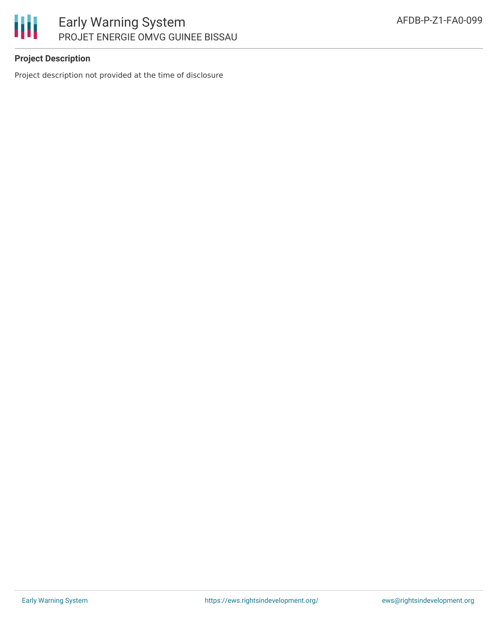

## **Project Description**

Project description not provided at the time of disclosure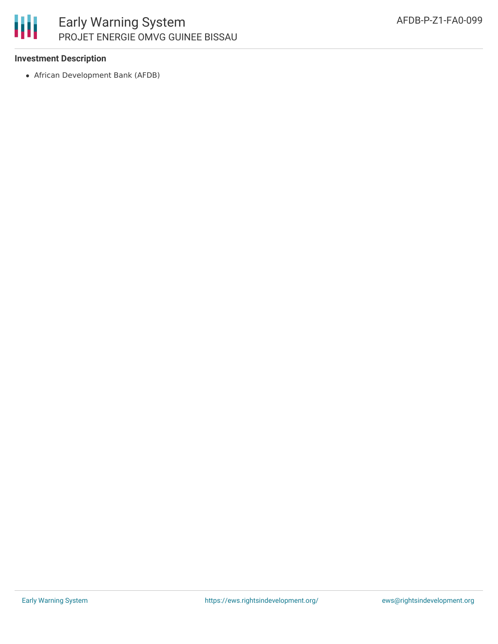

#### **Investment Description**

African Development Bank (AFDB)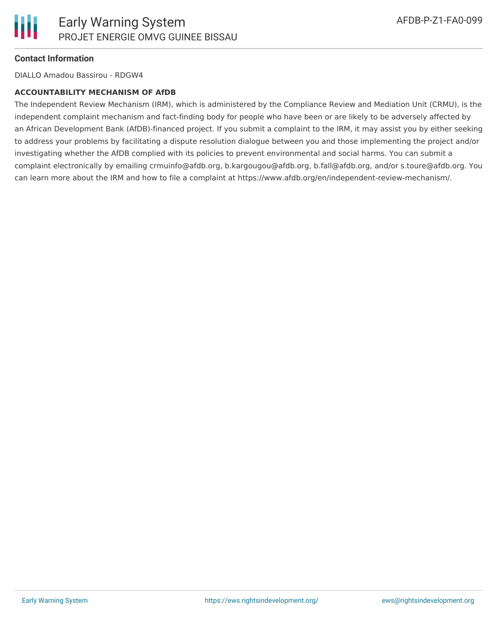

#### **Contact Information**

DIALLO Amadou Bassirou - RDGW4

#### **ACCOUNTABILITY MECHANISM OF AfDB**

The Independent Review Mechanism (IRM), which is administered by the Compliance Review and Mediation Unit (CRMU), is the independent complaint mechanism and fact-finding body for people who have been or are likely to be adversely affected by an African Development Bank (AfDB)-financed project. If you submit a complaint to the IRM, it may assist you by either seeking to address your problems by facilitating a dispute resolution dialogue between you and those implementing the project and/or investigating whether the AfDB complied with its policies to prevent environmental and social harms. You can submit a complaint electronically by emailing crmuinfo@afdb.org, b.kargougou@afdb.org, b.fall@afdb.org, and/or s.toure@afdb.org. You can learn more about the IRM and how to file a complaint at https://www.afdb.org/en/independent-review-mechanism/.